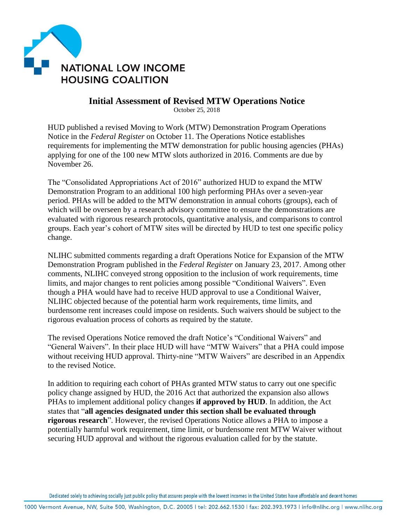

## **Initial Assessment of Revised MTW Operations Notice**

October 25, 2018

HUD published a revised Moving to Work (MTW) Demonstration Program Operations Notice in the *Federal Register* on October 11. The Operations Notice establishes requirements for implementing the MTW demonstration for public housing agencies (PHAs) applying for one of the 100 new MTW slots authorized in 2016. Comments are due by November 26.

The "Consolidated Appropriations Act of 2016" authorized HUD to expand the MTW Demonstration Program to an additional 100 high performing PHAs over a seven-year period. PHAs will be added to the MTW demonstration in annual cohorts (groups), each of which will be overseen by a research advisory committee to ensure the demonstrations are evaluated with rigorous research protocols, quantitative analysis, and comparisons to control groups. Each year's cohort of MTW sites will be directed by HUD to test one specific policy change.

NLIHC submitted comments regarding a draft Operations Notice for Expansion of the MTW Demonstration Program published in the *Federal Register* on January 23, 2017. Among other comments, NLIHC conveyed strong opposition to the inclusion of work requirements, time limits, and major changes to rent policies among possible "Conditional Waivers". Even though a PHA would have had to receive HUD approval to use a Conditional Waiver, NLIHC objected because of the potential harm work requirements, time limits, and burdensome rent increases could impose on residents. Such waivers should be subject to the rigorous evaluation process of cohorts as required by the statute.

The revised Operations Notice removed the draft Notice's "Conditional Waivers" and "General Waivers". In their place HUD will have "MTW Waivers" that a PHA could impose without receiving HUD approval. Thirty-nine "MTW Waivers" are described in an Appendix to the revised Notice.

In addition to requiring each cohort of PHAs granted MTW status to carry out one specific policy change assigned by HUD, the 2016 Act that authorized the expansion also allows PHAs to implement additional policy changes **if approved by HUD**. In addition, the Act states that "**all agencies designated under this section shall be evaluated through rigorous research**". However, the revised Operations Notice allows a PHA to impose a potentially harmful work requirement, time limit, or burdensome rent MTW Waiver without securing HUD approval and without the rigorous evaluation called for by the statute.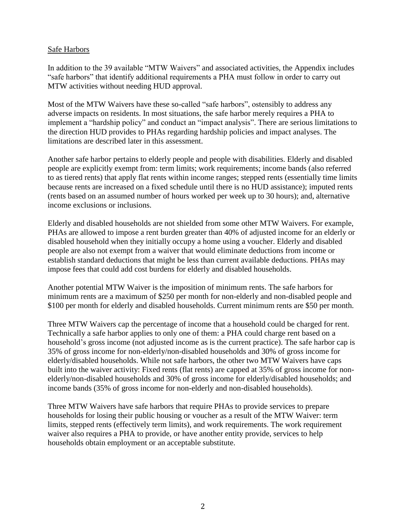#### Safe Harbors

In addition to the 39 available "MTW Waivers" and associated activities, the Appendix includes "safe harbors" that identify additional requirements a PHA must follow in order to carry out MTW activities without needing HUD approval.

Most of the MTW Waivers have these so-called "safe harbors", ostensibly to address any adverse impacts on residents. In most situations, the safe harbor merely requires a PHA to implement a "hardship policy" and conduct an "impact analysis". There are serious limitations to the direction HUD provides to PHAs regarding hardship policies and impact analyses. The limitations are described later in this assessment.

Another safe harbor pertains to elderly people and people with disabilities. Elderly and disabled people are explicitly exempt from: term limits; work requirements; income bands (also referred to as tiered rents) that apply flat rents within income ranges; stepped rents (essentially time limits because rents are increased on a fixed schedule until there is no HUD assistance); imputed rents (rents based on an assumed number of hours worked per week up to 30 hours); and, alternative income exclusions or inclusions.

Elderly and disabled households are not shielded from some other MTW Waivers. For example, PHAs are allowed to impose a rent burden greater than 40% of adjusted income for an elderly or disabled household when they initially occupy a home using a voucher. Elderly and disabled people are also not exempt from a waiver that would eliminate deductions from income or establish standard deductions that might be less than current available deductions. PHAs may impose fees that could add cost burdens for elderly and disabled households.

Another potential MTW Waiver is the imposition of minimum rents. The safe harbors for minimum rents are a maximum of \$250 per month for non-elderly and non-disabled people and \$100 per month for elderly and disabled households. Current minimum rents are \$50 per month.

Three MTW Waivers cap the percentage of income that a household could be charged for rent. Technically a safe harbor applies to only one of them: a PHA could charge rent based on a household's gross income (not adjusted income as is the current practice). The safe harbor cap is 35% of gross income for non-elderly/non-disabled households and 30% of gross income for elderly/disabled households. While not safe harbors, the other two MTW Waivers have caps built into the waiver activity: Fixed rents (flat rents) are capped at 35% of gross income for nonelderly/non-disabled households and 30% of gross income for elderly/disabled households; and income bands (35% of gross income for non-elderly and non-disabled households).

Three MTW Waivers have safe harbors that require PHAs to provide services to prepare households for losing their public housing or voucher as a result of the MTW Waiver: term limits, stepped rents (effectively term limits), and work requirements. The work requirement waiver also requires a PHA to provide, or have another entity provide, services to help households obtain employment or an acceptable substitute.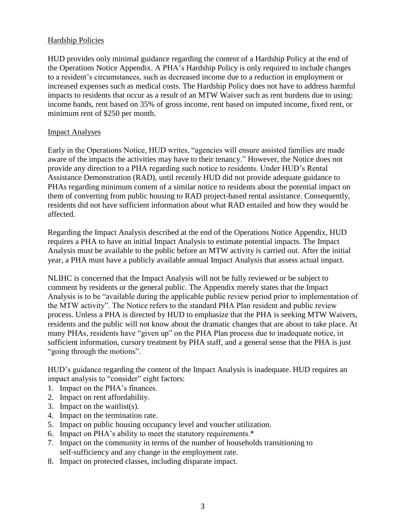## Hardship Policies

HUD provides only minimal guidance regarding the content of a Hardship Policy at the end of the Operations Notice Appendix. A PHA's Hardship Policy is only required to include changes to a resident's circumstances, such as decreased income due to a reduction in employment or increased expenses such as medical costs. The Hardship Policy does not have to address harmful impacts to residents that occur as a result of an MTW Waiver such as rent burdens due to using: income bands, rent based on 35% of gross income, rent based on imputed income, fixed rent, or minimum rent of \$250 per month.

## Impact Analyses

Early in the Operations Notice, HUD writes, "agencies will ensure assisted families are made aware of the impacts the activities may have to their tenancy." However, the Notice does not provide any direction to a PHA regarding such notice to residents. Under HUD's Rental Assistance Demonstration (RAD), until recently HUD did not provide adequate guidance to PHAs regarding minimum content of a similar notice to residents about the potential impact on them of converting from public housing to RAD project-based rental assistance. Consequently, residents did not have sufficient information about what RAD entailed and how they would be affected.

Regarding the Impact Analysis described at the end of the Operations Notice Appendix, HUD requires a PHA to have an initial Impact Analysis to estimate potential impacts. The Impact Analysis must be available to the public before an MTW activity is carried out. After the initial year, a PHA must have a publicly available annual Impact Analysis that assess actual impact.

NLIHC is concerned that the Impact Analysis will not be fully reviewed or be subject to comment by residents or the general public. The Appendix merely states that the Impact Analysis is to be "available during the applicable public review period prior to implementation of the MTW activity". The Notice refers to the standard PHA Plan resident and public review process. Unless a PHA is directed by HUD to emphasize that the PHA is seeking MTW Waivers, residents and the public will not know about the dramatic changes that are about to take place. At many PHAs, residents have "given up" on the PHA Plan process due to inadequate notice, in sufficient information, cursory treatment by PHA staff, and a general sense that the PHA is just "going through the motions".

HUD's guidance regarding the content of the Impact Analysis is inadequate. HUD requires an impact analysis to "consider" eight factors:

- 1. Impact on the PHA's finances.
- 2. Impact on rent affordability.
- 3. Impact on the waitlist(s).
- 4. Impact on the termination rate.
- 5. Impact on public housing occupancy level and voucher utilization.
- 6. Impact on PHA's ability to meet the statutory requirements.\*
- 7. Impact on the community in terms of the number of households transitioning to self-sufficiency and any change in the employment rate.
- 8. Impact on protected classes, including disparate impact.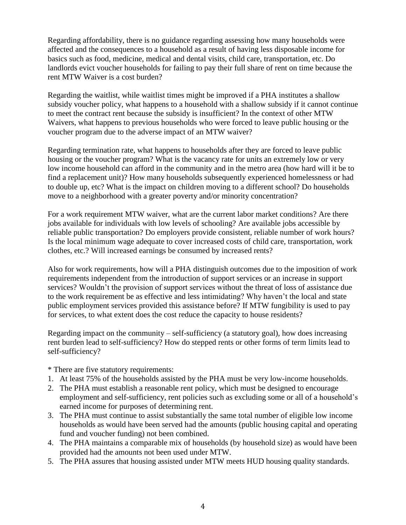Regarding affordability, there is no guidance regarding assessing how many households were affected and the consequences to a household as a result of having less disposable income for basics such as food, medicine, medical and dental visits, child care, transportation, etc. Do landlords evict voucher households for failing to pay their full share of rent on time because the rent MTW Waiver is a cost burden?

Regarding the waitlist, while waitlist times might be improved if a PHA institutes a shallow subsidy voucher policy, what happens to a household with a shallow subsidy if it cannot continue to meet the contract rent because the subsidy is insufficient? In the context of other MTW Waivers, what happens to previous households who were forced to leave public housing or the voucher program due to the adverse impact of an MTW waiver?

Regarding termination rate, what happens to households after they are forced to leave public housing or the voucher program? What is the vacancy rate for units an extremely low or very low income household can afford in the community and in the metro area (how hard will it be to find a replacement unit)? How many households subsequently experienced homelessness or had to double up, etc? What is the impact on children moving to a different school? Do households move to a neighborhood with a greater poverty and/or minority concentration?

For a work requirement MTW waiver, what are the current labor market conditions? Are there jobs available for individuals with low levels of schooling? Are available jobs accessible by reliable public transportation? Do employers provide consistent, reliable number of work hours? Is the local minimum wage adequate to cover increased costs of child care, transportation, work clothes, etc.? Will increased earnings be consumed by increased rents?

Also for work requirements, how will a PHA distinguish outcomes due to the imposition of work requirements independent from the introduction of support services or an increase in support services? Wouldn't the provision of support services without the threat of loss of assistance due to the work requirement be as effective and less intimidating? Why haven't the local and state public employment services provided this assistance before? If MTW fungibility is used to pay for services, to what extent does the cost reduce the capacity to house residents?

Regarding impact on the community – self-sufficiency (a statutory goal), how does increasing rent burden lead to self-sufficiency? How do stepped rents or other forms of term limits lead to self-sufficiency?

\* There are five statutory requirements:

- 1. At least 75% of the households assisted by the PHA must be very low-income households.
- 2. The PHA must establish a reasonable rent policy, which must be designed to encourage employment and self-sufficiency, rent policies such as excluding some or all of a household's earned income for purposes of determining rent.
- 3. The PHA must continue to assist substantially the same total number of eligible low income households as would have been served had the amounts (public housing capital and operating fund and voucher funding) not been combined.
- 4. The PHA maintains a comparable mix of households (by household size) as would have been provided had the amounts not been used under MTW.
- 5. The PHA assures that housing assisted under MTW meets HUD housing quality standards.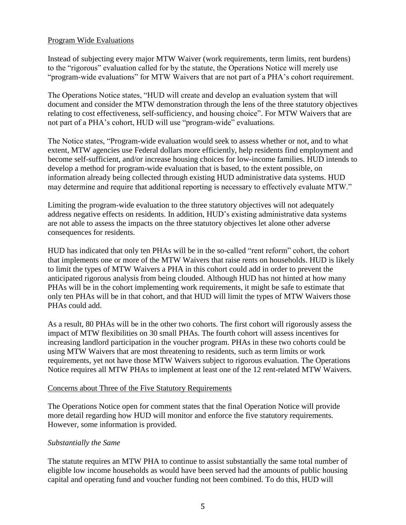## Program Wide Evaluations

Instead of subjecting every major MTW Waiver (work requirements, term limits, rent burdens) to the "rigorous" evaluation called for by the statute, the Operations Notice will merely use "program-wide evaluations" for MTW Waivers that are not part of a PHA's cohort requirement.

The Operations Notice states, "HUD will create and develop an evaluation system that will document and consider the MTW demonstration through the lens of the three statutory objectives relating to cost effectiveness, self-sufficiency, and housing choice". For MTW Waivers that are not part of a PHA's cohort, HUD will use "program-wide" evaluations.

The Notice states, "Program-wide evaluation would seek to assess whether or not, and to what extent, MTW agencies use Federal dollars more efficiently, help residents find employment and become self-sufficient, and/or increase housing choices for low-income families. HUD intends to develop a method for program-wide evaluation that is based, to the extent possible, on information already being collected through existing HUD administrative data systems. HUD may determine and require that additional reporting is necessary to effectively evaluate MTW."

Limiting the program-wide evaluation to the three statutory objectives will not adequately address negative effects on residents. In addition, HUD's existing administrative data systems are not able to assess the impacts on the three statutory objectives let alone other adverse consequences for residents.

HUD has indicated that only ten PHAs will be in the so-called "rent reform" cohort, the cohort that implements one or more of the MTW Waivers that raise rents on households. HUD is likely to limit the types of MTW Waivers a PHA in this cohort could add in order to prevent the anticipated rigorous analysis from being clouded. Although HUD has not hinted at how many PHAs will be in the cohort implementing work requirements, it might be safe to estimate that only ten PHAs will be in that cohort, and that HUD will limit the types of MTW Waivers those PHAs could add.

As a result, 80 PHAs will be in the other two cohorts. The first cohort will rigorously assess the impact of MTW flexibilities on 30 small PHAs. The fourth cohort will assess incentives for increasing landlord participation in the voucher program. PHAs in these two cohorts could be using MTW Waivers that are most threatening to residents, such as term limits or work requirements, yet not have those MTW Waivers subject to rigorous evaluation. The Operations Notice requires all MTW PHAs to implement at least one of the 12 rent-related MTW Waivers.

#### Concerns about Three of the Five Statutory Requirements

The Operations Notice open for comment states that the final Operation Notice will provide more detail regarding how HUD will monitor and enforce the five statutory requirements. However, some information is provided.

#### *Substantially the Same*

The statute requires an MTW PHA to continue to assist substantially the same total number of eligible low income households as would have been served had the amounts of public housing capital and operating fund and voucher funding not been combined. To do this, HUD will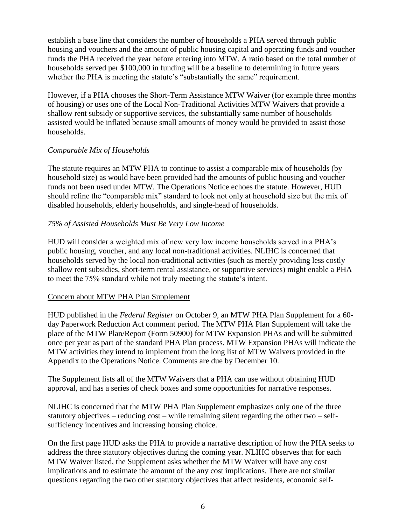establish a base line that considers the number of households a PHA served through public housing and vouchers and the amount of public housing capital and operating funds and voucher funds the PHA received the year before entering into MTW. A ratio based on the total number of households served per \$100,000 in funding will be a baseline to determining in future years whether the PHA is meeting the statute's "substantially the same" requirement.

However, if a PHA chooses the Short-Term Assistance MTW Waiver (for example three months of housing) or uses one of the Local Non-Traditional Activities MTW Waivers that provide a shallow rent subsidy or supportive services, the substantially same number of households assisted would be inflated because small amounts of money would be provided to assist those households.

## *Comparable Mix of Households*

The statute requires an MTW PHA to continue to assist a comparable mix of households (by household size) as would have been provided had the amounts of public housing and voucher funds not been used under MTW. The Operations Notice echoes the statute. However, HUD should refine the "comparable mix" standard to look not only at household size but the mix of disabled households, elderly households, and single-head of households.

## *75% of Assisted Households Must Be Very Low Income*

HUD will consider a weighted mix of new very low income households served in a PHA's public housing, voucher, and any local non-traditional activities. NLIHC is concerned that households served by the local non-traditional activities (such as merely providing less costly shallow rent subsidies, short-term rental assistance, or supportive services) might enable a PHA to meet the 75% standard while not truly meeting the statute's intent.

## Concern about MTW PHA Plan Supplement

HUD published in the *Federal Register* on October 9, an MTW PHA Plan Supplement for a 60 day Paperwork Reduction Act comment period. The MTW PHA Plan Supplement will take the place of the MTW Plan/Report (Form 50900) for MTW Expansion PHAs and will be submitted once per year as part of the standard PHA Plan process. MTW Expansion PHAs will indicate the MTW activities they intend to implement from the long list of MTW Waivers provided in the Appendix to the Operations Notice. Comments are due by December 10.

The Supplement lists all of the MTW Waivers that a PHA can use without obtaining HUD approval, and has a series of check boxes and some opportunities for narrative responses.

NLIHC is concerned that the MTW PHA Plan Supplement emphasizes only one of the three statutory objectives – reducing cost – while remaining silent regarding the other two – selfsufficiency incentives and increasing housing choice.

On the first page HUD asks the PHA to provide a narrative description of how the PHA seeks to address the three statutory objectives during the coming year. NLIHC observes that for each MTW Waiver listed, the Supplement asks whether the MTW Waiver will have any cost implications and to estimate the amount of the any cost implications. There are not similar questions regarding the two other statutory objectives that affect residents, economic self-